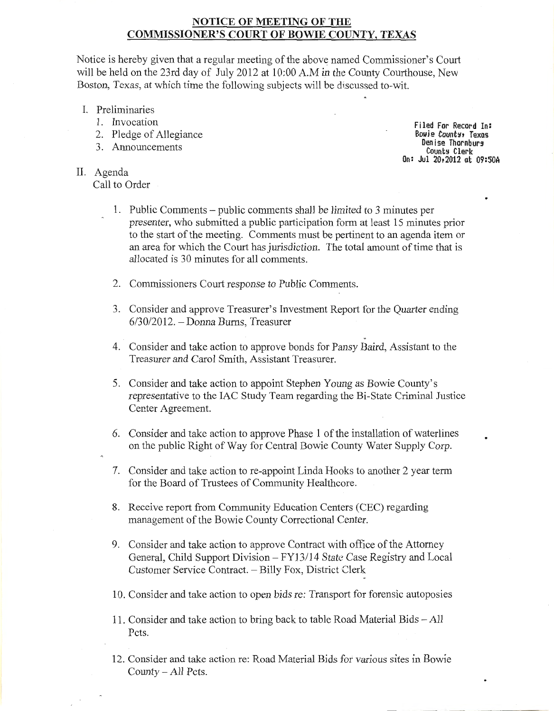# NOTICE OF MEETING OF THE COMMISSIONER'S COURT OF BOWIE COUNTY, TEXAS

Notice is hereby given that a regular meeting of the above named Commissioner's Court will be held on the 23rd day of July 2012 at 10:00 A.M in the County Courthouse, New Boston, Texas, at which time the following subjects will be discussed to-wit.

- I. Preliminaries
	- 1. Invocation
	- 2. Pledge of Allegiance
	- 3. Announcements

II. Agenda Call to Order

Filed For Record In: Bowie County, Texas Denise Thornburg<br>County Clerk On: Jul 20,2012 at 09:50A

- 1. Public Comments -public comments shall be limited to 3 minutes per presenter, who submitted a public participation form at least 15 minutes prior to the start of the meeting. Comments must be pertinent to an agenda item or an area for which the Court has jurisdiction. The total amount of time that is allocated is 30 minutes for all comments.
- 2. Commissioners Court response to Public Comments.
- 3. Consider and approve Treasurer's Investment Report for the Quarter ending  $6/30/2012$ . - Donna Burns, Treasurer
- 4. Consider and take action to approve bonds for Pansy Baird, Assistant to the Treasurer and Carol Smith, Assistant Treasurer.
- 5. Consider and take action to appoint Stephen Young as Bowie County's representative to the lAC Study Team regarding the Bi-State Criminal Justice Center Agreement.
- 6. Consider and take action to approve Phase 1 of the installation of waterlines on the public Right of Way for Central Bowie County Water Supply Corp.
- 7. Consider and take action to re-appoint Linda Hooks to another 2 year term for the Board of Trustees of Community Healthcore.
- 8. Receive report from Community Education Centers (CEC) regarding management of the Bowie County Correctional Center.
- 9. Consider and take action to approve Contract with office of the Attorney General, Child Support Division- FY13/14 State Case Registry and Local Customer Service Contract. - Billy Fox, District Clerk
- 10. Consider and take action to open bids re: Transport for forensic autoposies
- 11. Consider and take action to bring back to table Road Material Bids All Pets.
- 12. Consider and take action re: Road Material Bids for various sites in Bowie County- All Pets.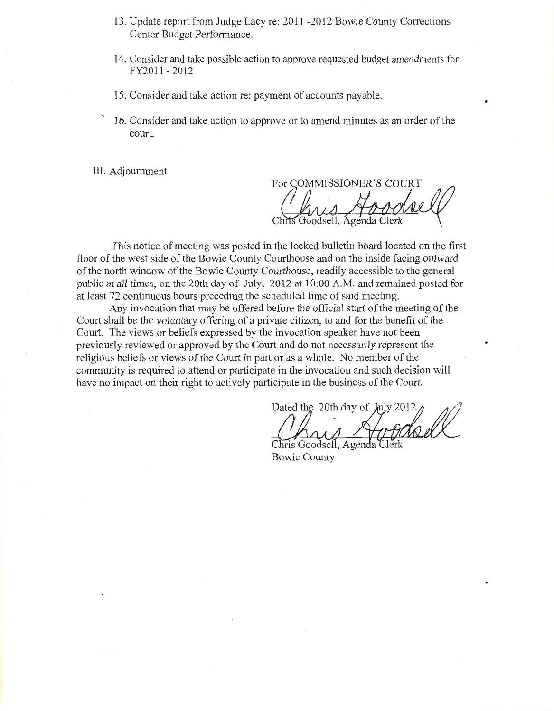- 13. Update report from Judge Lacy re: 2011 -2012 Bowie County Corrections Center Budget Performance.
- **14.** Consider and take possible action to approve requested budget amendments for FY2011 - 2012
- 15. Consider and take action re: payment of accounts payable.
- 16. Consider and take action to approve or to amend minutes as an order of the court.

III. Adjournment

For COMMISSIONER'S COURT

This notice of meeting was posted **in** the locked bulletin board located on the first floor of the west side of the Bowie County Courthouse and on the inside facing outward of the north window of the Bowie County Courthouse, readily accessible to the general public at **all** times, on the 20th day of July, 2012 at 10:00 A.M. and remained posted for at least 72 continuous hours preceding the scheduled time of said meeting.

Any invocation that may be offered before the official start of the meeting of the Court shall be the voluntary offering of a private citizen, to and for the benefit of the Court. The views or beliefs expressed by the invocation speaker have not been previously reviewed or approved by the Court and do not necessarily represent the religious beliefs or views of the Court in part or as a whole. No member of the community is required to attend or participate in the invocation and such decision will have no impact on their right to actively participate in the business of the Court.

Dated the 20th day of July 20

Chris Goodsell, Agend **Bowie County**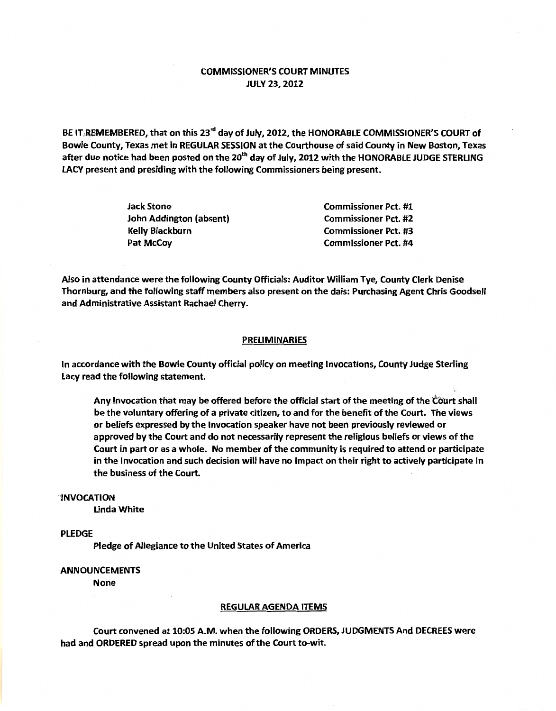## COMMISSIONER'S COURT MINUTES JULY 23, 2012

BE IT REMEMBERED, that on this 23<sup>rd</sup> day of July, 2012, the HONORABLE COMMISSIONER'S COURT of Bowie County, Texas met in REGULAR SESSION at the Courthouse of said County in New Boston, Texas after due notice had been posted on the 20<sup>th</sup> day of July, 2012 with the HONORABLE JUDGE STERLING LACY present and presiding with the following Commissioners being present.

| Jack Stone              | <b>Commissioner Pct. #1</b> |
|-------------------------|-----------------------------|
| John Addington (absent) | <b>Commissioner Pct. #2</b> |
| Kelly Blackburn         | <b>Commissioner Pct. #3</b> |
| Pat McCoy               | <b>Commissioner Pct. #4</b> |

Also in attendance were the following County Officials: Auditor William Tye, County Clerk Denise Thornburg, and the following staff members also present on the dais: Purchasing Agent Chris Goodsell and Administrative Assistant Rachael Cherry.

### PRELIMINARIES

In accordance with the Bowie County official policy on meeting Invocations, County Judge Sterling Lacy read the following statement.

Any Invocation that may be offered before the official start of the meeting of the Court shall be the voluntary offering of a private citizen, to and for the benefit of the Court. The views or beliefs expressed by the Invocation speaker have not been previously reviewed or approved by the Court and do not necessarily represent the religious beliefs or views of the Court in part or as a whole. No member of the community is required to attend or participate in the Invocation and such decision will have no impact on their right to actively participate in the business of the Court.

#### -'INVOCATION

Linda White

## PLEDGE

Pledge of Allegiance to the United States of America

## ANNOUNCEMENTS

None

#### REGULAR AGENDA ITEMS

Court convened at 10:05 A.M. when the following ORDERS, JUDGMENTS And DECREES were had and ORDERED spread upon the minutes of the Court to-wit.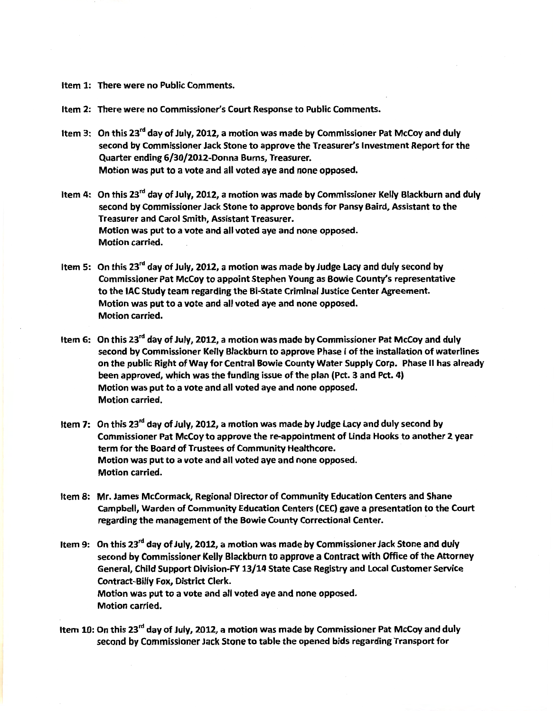Item 1: There were no Public Comments.

Item 2: There were no Commissioner's Court Response to Public Comments.

- Item 3: On this 23<sup>rd</sup> day of July, 2012, a motion was made by Commissioner Pat McCoy and duly second by Commissioner Jack Stone to approve the Treasurer's Investment Report for the Quarter ending 6/30/2012-Donna Burns, Treasurer. Motion was put to a vote and all voted aye and none opposed.
- Item 4: On this 23<sup>rd</sup> day of July, 2012, a motion was made by Commissioner Kelly Blackburn and duly second by Commissioner Jack Stone to approve bonds for Pansy Baird, Assistant to the Treasurer and Carol Smith, Assistant Treasurer. Motion was put to a vote and all voted aye and none opposed. Motion carried.
- Item 5: On this  $23^{rd}$  day of July, 2012, a motion was made by Judge Lacy and duly second by Commissioner Pat McCoy to appoint Stephen Young as Bowie County's representative to the lAC Study team regarding the Bi-State Criminal Justice Center Agreement. Motion was put to a vote and all voted aye and none opposed. Motion carried.
- Item 6: On this 23rd day of July, 2012, a motion was made by Commissioner Pat McCoy and duly second by Commissioner Kelly Blackburn to approve Phase I of the installation of waterlines on the public Right of Way for Central Bowie County Water Supply Corp. Phase II has already been approved, which was the funding issue of the plan (Pct. 3 and Pct. 4) Motion was put to a vote and all voted aye and none opposed. Motion carried.
- Item 7: On this  $23^{rd}$  day of July, 2012, a motion was made by Judge Lacy and duly second by Commissioner Pat McCoy to approve the re-appointment of Linda Hooks to another 2 year term for the Board of Trustees of Community Healthcore. Motion was put to a vote and all voted aye and none opposed. Motion carried.
- Item 8: Mr. James McCormack, Regional Director of Community Education Centers and Shane Campbell, Warden of Community Education Centers (CEC) gave a presentation to the Court regarding the management of the Bowie County Correctional Center.
- Item 9: On this 23<sup>rd</sup> day of July, 2012, a motion was made by Commissioner Jack Stone and duly second by Commissioner Kelly Blackburn to approve a Contract with Office of the Attorney General, Child Support Division-FY 13/14 State Case Registry and Local Customer Service Contract-Billy Fox, District Clerk. Motion was put to a vote and all voted aye and none opposed. Motion carried.
- Item 10: On this 23<sup>rd</sup> day of July, 2012, a motion was made by Commissioner Pat McCoy and duly second by Commissioner Jack Stone to table the opened bids regarding Transport for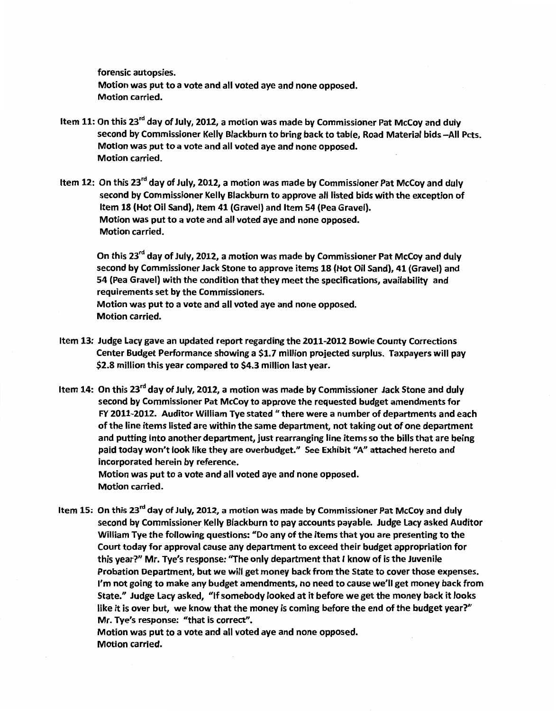forensic autopsies. Motion was put to a vote and all voted aye and none opposed. Motion carried.

- Item 11: On this 23<sup>rd</sup> day of July, 2012, a motion was made by Commissioner Pat McCoy and duly second by Commissioner Kelly Blackburn to bring back to table. Road Material bids -- All Pcts. Motion was put to a vote and all voted aye and none opposed. Motion carried.
- Item 12: On this 23<sup>rd</sup> day of July, 2012, a motion was made by Commissioner Pat McCoy and duly second by Commissioner Kelly Blackburn to approve all listed bids with the exception of Item 18 (Hot Oil Sand), Item 41 (Gravel) and Item 54 (Pea Gravel). Motion was put to a vote and all voted aye and none opposed. Motion carried.

On this 23<sup>rd</sup> day of July, 2012, a motion was made by Commissioner Pat McCoy and duly second by Commissioner Jack Stone to approve items 18 (Hot Oil Sand), 41 (Gravel) and 54 (Pea Gravel) with the condition that they meet the specifications, availability and requirements set by the Commissioners.

Motion was put to a vote and all voted aye and none opposed. Motion carried.

- Item 13: Judge Lacy gave an updated report regarding the 2011-2012 Bowie County Corrections Center Budget Performance showing a \$1.7 million projected surplus. Taxpayers will pay \$2.8 million this year compared to \$4.3 million last year.
- Item 14: On this 23<sup>rd</sup> day of July, 2012, a motion was made by Commissioner Jack Stone and duly second by Commissioner Pat McCoy to approve the requested budget amendments for FY 2011-2012. Auditor William Tye stated *11* there were a number of departments and each of the line items listed are within the same department, not taking out of one department and putting into another department, just rearranging line items so the bills that are being paid today won't look like they are overbudget." See Exhibit "A" attached hereto and incorporated herein by reference.

Motion was put to a vote and all voted aye and none opposed. Motion carried.

Item 15: On this 23<sup>rd</sup> day of July, 2012, a motion was made by Commissioner Pat McCoy and duly second by Commissioner Kelly Blackburn to pay accounts payable. Judge Lacy asked Auditor William Tye the following questions: *<sup>11</sup>*Do any of the items that you are presenting to the Court today for approval cause any department to exceed their budget appropriation for this year?" Mr. Tye's response: "The only department that I know of is the Juvenile Probation Department, but we will get money back from the State to cover those expenses. I'm not going to make any budget amendments, no need to cause we'll get money back from State." Judge Lacy asked, "If somebody looked at it before we get the money back it looks like it is over but, we know that the money is coming before the end of the budget year?" Mr. Tye's response: "that is correct".

Motion was put to a vote and all voted aye and none opposed. Motion carried.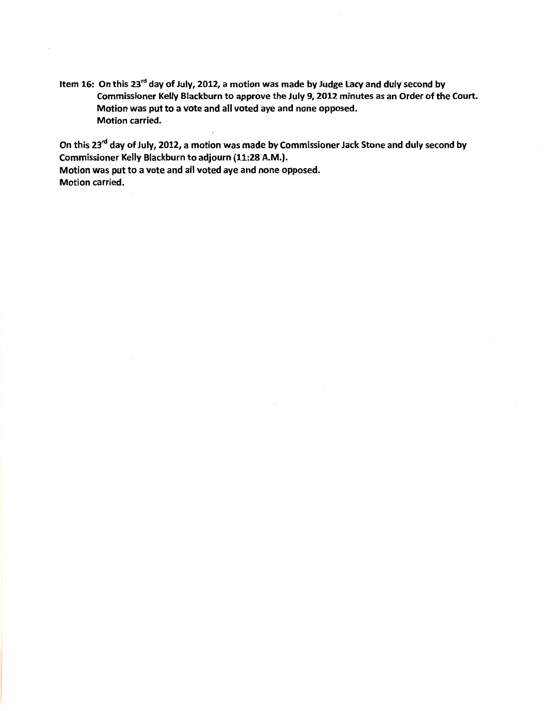Item 16: On this 23<sup>rd</sup> day of July, 2012, a motion was made by Judge Lacy and duly second by Commissioner Kelly Blackburn to approve the July 9, 2012 minutes as an Order of the Court. Motion was put to a vote and all voted aye and none opposed. Motion carried.

On this 23<sup>rd</sup> day of July, 2012, a motion was made by Commissioner Jack Stone and duly second by Commissioner Kelly Blackburn to adjourn (11:28 A.M.}.

Motion was put to a vote and all voted aye and none opposed. Motion carried.

 $\overline{a}$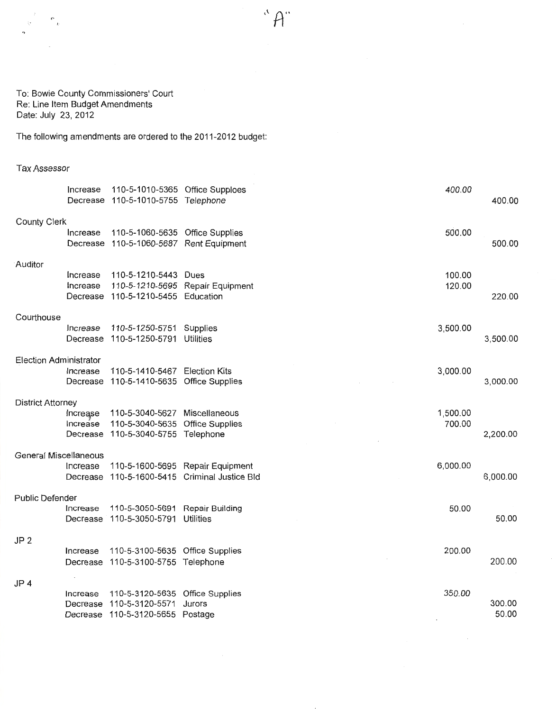$\hat{H}^{\alpha}$ 

To: Bowie County Commissioners' Court Re: Line Item Budget Amendments Date: July 23, 2012

The foilowing amendments are ordered to the 2011-2012 budget:

## Tax Assessor

|                          | Increase | 110-5-1010-5365 Office Supploes<br>Decrease 110-5-1010-5755 Telephone |                                      | 400.00   | 400.00   |
|--------------------------|----------|-----------------------------------------------------------------------|--------------------------------------|----------|----------|
| County Clerk             |          |                                                                       |                                      |          |          |
|                          | Increase | 110-5-1060-5635 Office Supplies                                       |                                      | 500.00   |          |
|                          |          | Decrease 110-5-1060-5687 Rent Equipment                               |                                      |          | 500.00   |
| Auditor                  |          |                                                                       |                                      |          |          |
|                          | Increase | 110-5-1210-5443 Dues                                                  |                                      | 100.00   |          |
|                          | Increase |                                                                       | 110-5-1210-5695 Repair Equipment     | 120.00   |          |
|                          |          | Decrease 110-5-1210-5455 Education                                    |                                      |          | 220.00   |
| Courthouse               |          |                                                                       |                                      |          |          |
|                          | Increase | 110-5-1250-5751 Supplies                                              |                                      | 3,500.00 |          |
|                          | Decrease | 110-5-1250-5791 Utilities                                             |                                      |          | 3,500.00 |
| Election Administrator   |          |                                                                       |                                      |          |          |
|                          | Increase | 110-5-1410-5467 Election Kits                                         |                                      | 3,000.00 |          |
|                          |          | Decrease 110-5-1410-5635 Office Supplies                              |                                      |          | 3,000.00 |
| <b>District Attorney</b> |          |                                                                       |                                      |          |          |
|                          | Increase | 110-5-3040-5627 Miscellaneous                                         |                                      | 1,500.00 |          |
|                          | Increase | 110-5-3040-5635 Office Supplies                                       |                                      | 700.00   |          |
|                          | Decrease | 110-5-3040-5755 Telephone                                             |                                      |          | 2,200.00 |
| General Miscellaneous    |          |                                                                       |                                      |          |          |
|                          | Increase |                                                                       | 110-5-1600-5695 Repair Equipment     | 6,000.00 |          |
|                          | Decrease |                                                                       | 110-5-1600-5415 Criminal Justice Bld |          | 6,000.00 |
| Public Defender          |          |                                                                       |                                      |          |          |
|                          | Increase | 110-5-3050-5691 Repair Building                                       |                                      | 50.00    |          |
|                          | Decrease | 110-5-3050-5791 Utilities                                             |                                      |          | 50.00    |
| JP 2                     |          |                                                                       |                                      |          |          |
|                          | Increase | 110-5-3100-5635 Office Supplies                                       |                                      | 200.00   |          |
|                          |          | Decrease 110-5-3100-5755 Telephone                                    |                                      |          | 200.00   |
| JP 4                     |          |                                                                       |                                      |          |          |
|                          | Increase | 110-5-3120-5635 Office Supplies                                       |                                      | 350.00   |          |
|                          | Decrease | 110-5-3120-5571                                                       | Jurors                               |          | 300.00   |
|                          |          | Decrease 110-5-3120-5655 Postage                                      |                                      |          | 50.00    |